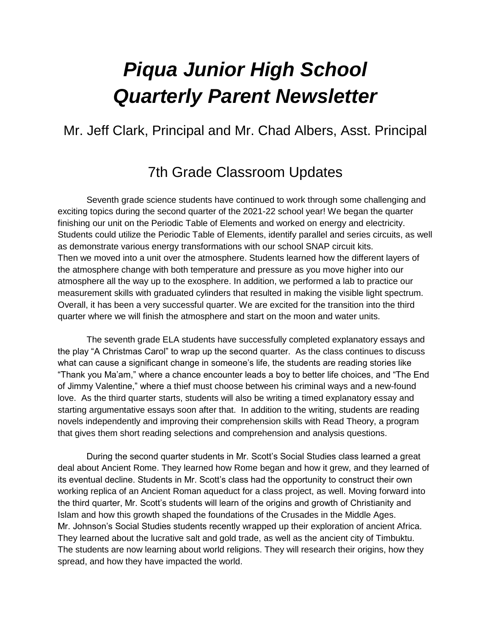# *Piqua Junior High School Quarterly Parent Newsletter*

# Mr. Jeff Clark, Principal and Mr. Chad Albers, Asst. Principal

# 7th Grade Classroom Updates

Seventh grade science students have continued to work through some challenging and exciting topics during the second quarter of the 2021-22 school year! We began the quarter finishing our unit on the Periodic Table of Elements and worked on energy and electricity. Students could utilize the Periodic Table of Elements, identify parallel and series circuits, as well as demonstrate various energy transformations with our school SNAP circuit kits. Then we moved into a unit over the atmosphere. Students learned how the different layers of the atmosphere change with both temperature and pressure as you move higher into our atmosphere all the way up to the exosphere. In addition, we performed a lab to practice our measurement skills with graduated cylinders that resulted in making the visible light spectrum. Overall, it has been a very successful quarter. We are excited for the transition into the third quarter where we will finish the atmosphere and start on the moon and water units.

The seventh grade ELA students have successfully completed explanatory essays and the play "A Christmas Carol" to wrap up the second quarter. As the class continues to discuss what can cause a significant change in someone's life, the students are reading stories like "Thank you Ma'am," where a chance encounter leads a boy to better life choices, and "The End of Jimmy Valentine," where a thief must choose between his criminal ways and a new-found love. As the third quarter starts, students will also be writing a timed explanatory essay and starting argumentative essays soon after that. In addition to the writing, students are reading novels independently and improving their comprehension skills with Read Theory, a program that gives them short reading selections and comprehension and analysis questions.

During the second quarter students in Mr. Scott's Social Studies class learned a great deal about Ancient Rome. They learned how Rome began and how it grew, and they learned of its eventual decline. Students in Mr. Scott's class had the opportunity to construct their own working replica of an Ancient Roman aqueduct for a class project, as well. Moving forward into the third quarter, Mr. Scott's students will learn of the origins and growth of Christianity and Islam and how this growth shaped the foundations of the Crusades in the Middle Ages. Mr. Johnson's Social Studies students recently wrapped up their exploration of ancient Africa. They learned about the lucrative salt and gold trade, as well as the ancient city of Timbuktu. The students are now learning about world religions. They will research their origins, how they spread, and how they have impacted the world.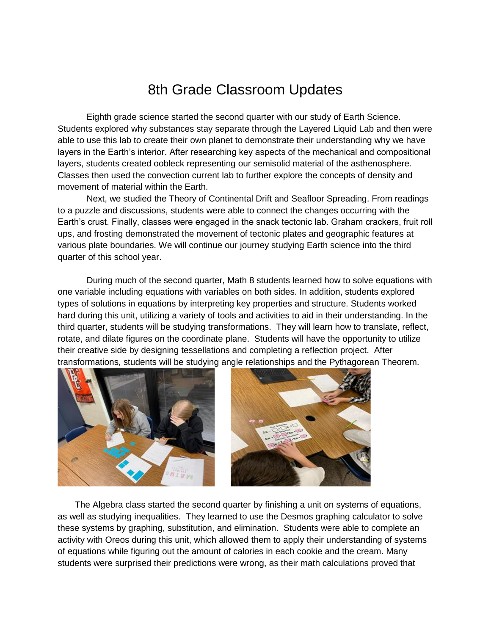# 8th Grade Classroom Updates

Eighth grade science started the second quarter with our study of Earth Science. Students explored why substances stay separate through the Layered Liquid Lab and then were able to use this lab to create their own planet to demonstrate their understanding why we have layers in the Earth's interior. After researching key aspects of the mechanical and compositional layers, students created oobleck representing our semisolid material of the asthenosphere. Classes then used the convection current lab to further explore the concepts of density and movement of material within the Earth.

Next, we studied the Theory of Continental Drift and Seafloor Spreading. From readings to a puzzle and discussions, students were able to connect the changes occurring with the Earth's crust. Finally, classes were engaged in the snack tectonic lab. Graham crackers, fruit roll ups, and frosting demonstrated the movement of tectonic plates and geographic features at various plate boundaries. We will continue our journey studying Earth science into the third quarter of this school year.

During much of the second quarter, Math 8 students learned how to solve equations with one variable including equations with variables on both sides. In addition, students explored types of solutions in equations by interpreting key properties and structure. Students worked hard during this unit, utilizing a variety of tools and activities to aid in their understanding. In the third quarter, students will be studying transformations. They will learn how to translate, reflect, rotate, and dilate figures on the coordinate plane. Students will have the opportunity to utilize their creative side by designing tessellations and completing a reflection project. After transformations, students will be studying angle relationships and the Pythagorean Theorem.





 The Algebra class started the second quarter by finishing a unit on systems of equations, as well as studying inequalities. They learned to use the Desmos graphing calculator to solve these systems by graphing, substitution, and elimination. Students were able to complete an activity with Oreos during this unit, which allowed them to apply their understanding of systems of equations while figuring out the amount of calories in each cookie and the cream. Many students were surprised their predictions were wrong, as their math calculations proved that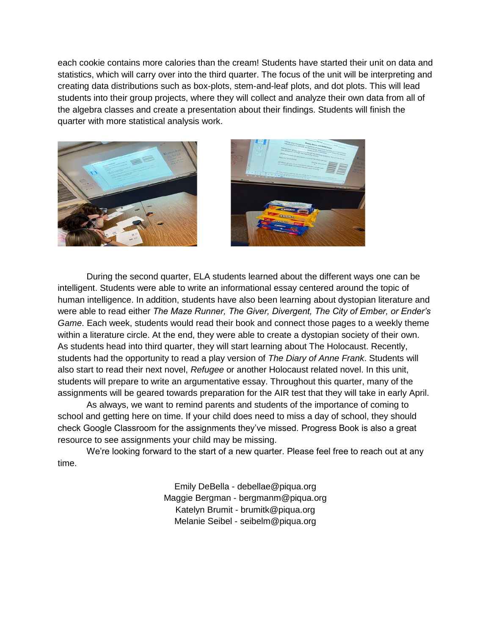each cookie contains more calories than the cream! Students have started their unit on data and statistics, which will carry over into the third quarter. The focus of the unit will be interpreting and creating data distributions such as box-plots, stem-and-leaf plots, and dot plots. This will lead students into their group projects, where they will collect and analyze their own data from all of the algebra classes and create a presentation about their findings. Students will finish the quarter with more statistical analysis work.





During the second quarter, ELA students learned about the different ways one can be intelligent. Students were able to write an informational essay centered around the topic of human intelligence. In addition, students have also been learning about dystopian literature and were able to read either *The Maze Runner, The Giver, Divergent, The City of Ember, or Ender's Game*. Each week, students would read their book and connect those pages to a weekly theme within a literature circle. At the end, they were able to create a dystopian society of their own. As students head into third quarter, they will start learning about The Holocaust. Recently, students had the opportunity to read a play version of *The Diary of Anne Frank*. Students will also start to read their next novel, *Refugee* or another Holocaust related novel. In this unit, students will prepare to write an argumentative essay. Throughout this quarter, many of the assignments will be geared towards preparation for the AIR test that they will take in early April.

As always, we want to remind parents and students of the importance of coming to school and getting here on time. If your child does need to miss a day of school, they should check Google Classroom for the assignments they've missed. Progress Book is also a great resource to see assignments your child may be missing.

We're looking forward to the start of a new quarter. Please feel free to reach out at any time.

> Emily DeBella - debellae@piqua.org Maggie Bergman - bergmanm@piqua.org Katelyn Brumit - brumitk@piqua.org Melanie Seibel - seibelm@piqua.org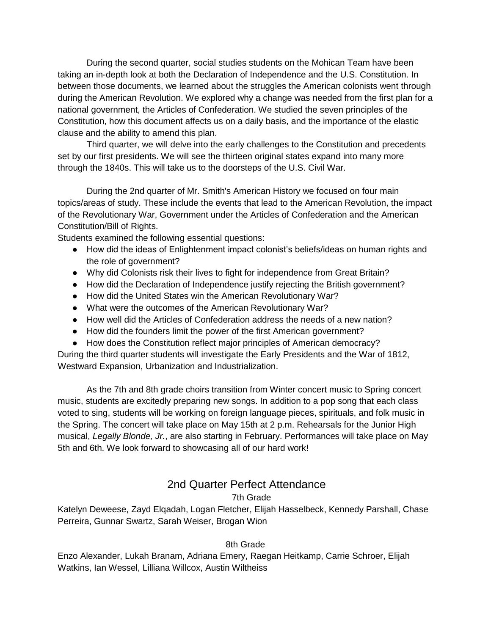During the second quarter, social studies students on the Mohican Team have been taking an in-depth look at both the Declaration of Independence and the U.S. Constitution. In between those documents, we learned about the struggles the American colonists went through during the American Revolution. We explored why a change was needed from the first plan for a national government, the Articles of Confederation. We studied the seven principles of the Constitution, how this document affects us on a daily basis, and the importance of the elastic clause and the ability to amend this plan.

Third quarter, we will delve into the early challenges to the Constitution and precedents set by our first presidents. We will see the thirteen original states expand into many more through the 1840s. This will take us to the doorsteps of the U.S. Civil War.

During the 2nd quarter of Mr. Smith's American History we focused on four main topics/areas of study. These include the events that lead to the American Revolution, the impact of the Revolutionary War, Government under the Articles of Confederation and the American Constitution/Bill of Rights.

Students examined the following essential questions:

- How did the ideas of Enlightenment impact colonist's beliefs/ideas on human rights and the role of government?
- Why did Colonists risk their lives to fight for independence from Great Britain?
- How did the Declaration of Independence justify rejecting the British government?
- How did the United States win the American Revolutionary War?
- What were the outcomes of the American Revolutionary War?
- How well did the Articles of Confederation address the needs of a new nation?
- How did the founders limit the power of the first American government?
- How does the Constitution reflect major principles of American democracy?

During the third quarter students will investigate the Early Presidents and the War of 1812, Westward Expansion, Urbanization and Industrialization.

As the 7th and 8th grade choirs transition from Winter concert music to Spring concert music, students are excitedly preparing new songs. In addition to a pop song that each class voted to sing, students will be working on foreign language pieces, spirituals, and folk music in the Spring. The concert will take place on May 15th at 2 p.m. Rehearsals for the Junior High musical, *Legally Blonde, Jr.*, are also starting in February. Performances will take place on May 5th and 6th. We look forward to showcasing all of our hard work!

#### 2nd Quarter Perfect Attendance

#### 7th Grade

Katelyn Deweese, Zayd Elqadah, Logan Fletcher, Elijah Hasselbeck, Kennedy Parshall, Chase Perreira, Gunnar Swartz, Sarah Weiser, Brogan Wion

#### 8th Grade

Enzo Alexander, Lukah Branam, Adriana Emery, Raegan Heitkamp, Carrie Schroer, Elijah Watkins, Ian Wessel, Lilliana Willcox, Austin Wiltheiss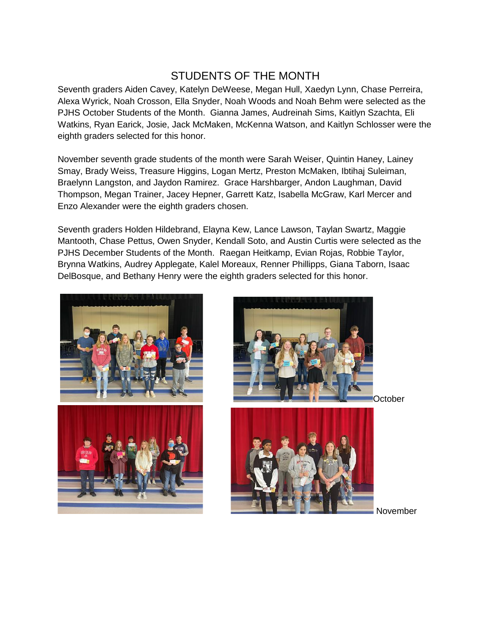## STUDENTS OF THE MONTH

Seventh graders Aiden Cavey, Katelyn DeWeese, Megan Hull, Xaedyn Lynn, Chase Perreira, Alexa Wyrick, Noah Crosson, Ella Snyder, Noah Woods and Noah Behm were selected as the PJHS October Students of the Month. Gianna James, Audreinah Sims, Kaitlyn Szachta, Eli Watkins, Ryan Earick, Josie, Jack McMaken, McKenna Watson, and Kaitlyn Schlosser were the eighth graders selected for this honor.

November seventh grade students of the month were Sarah Weiser, Quintin Haney, Lainey Smay, Brady Weiss, Treasure Higgins, Logan Mertz, Preston McMaken, Ibtihaj Suleiman, Braelynn Langston, and Jaydon Ramirez. Grace Harshbarger, Andon Laughman, David Thompson, Megan Trainer, Jacey Hepner, Garrett Katz, Isabella McGraw, Karl Mercer and Enzo Alexander were the eighth graders chosen.

Seventh graders Holden Hildebrand, Elayna Kew, Lance Lawson, Taylan Swartz, Maggie Mantooth, Chase Pettus, Owen Snyder, Kendall Soto, and Austin Curtis were selected as the PJHS December Students of the Month. Raegan Heitkamp, Evian Rojas, Robbie Taylor, Brynna Watkins, Audrey Applegate, Kalel Moreaux, Renner Phillipps, Giana Taborn, Isaac DelBosque, and Bethany Henry were the eighth graders selected for this honor.







October

November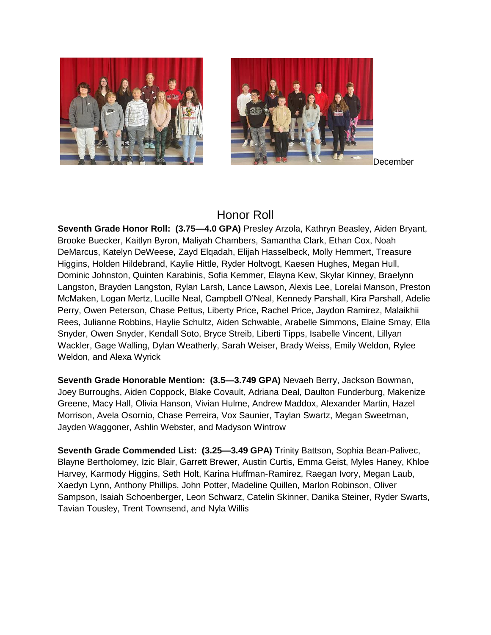



December

#### Honor Roll

**Seventh Grade Honor Roll: (3.75—4.0 GPA)** Presley Arzola, Kathryn Beasley, Aiden Bryant, Brooke Buecker, Kaitlyn Byron, Maliyah Chambers, Samantha Clark, Ethan Cox, Noah DeMarcus, Katelyn DeWeese, Zayd Elqadah, Elijah Hasselbeck, Molly Hemmert, Treasure Higgins, Holden Hildebrand, Kaylie Hittle, Ryder Holtvogt, Kaesen Hughes, Megan Hull, Dominic Johnston, Quinten Karabinis, Sofia Kemmer, Elayna Kew, Skylar Kinney, Braelynn Langston, Brayden Langston, Rylan Larsh, Lance Lawson, Alexis Lee, Lorelai Manson, Preston McMaken, Logan Mertz, Lucille Neal, Campbell O'Neal, Kennedy Parshall, Kira Parshall, Adelie Perry, Owen Peterson, Chase Pettus, Liberty Price, Rachel Price, Jaydon Ramirez, Malaikhii Rees, Julianne Robbins, Haylie Schultz, Aiden Schwable, Arabelle Simmons, Elaine Smay, Ella Snyder, Owen Snyder, Kendall Soto, Bryce Streib, Liberti Tipps, Isabelle Vincent, Lillyan Wackler, Gage Walling, Dylan Weatherly, Sarah Weiser, Brady Weiss, Emily Weldon, Rylee Weldon, and Alexa Wyrick

**Seventh Grade Honorable Mention: (3.5—3.749 GPA)** Nevaeh Berry, Jackson Bowman, Joey Burroughs, Aiden Coppock, Blake Covault, Adriana Deal, Daulton Funderburg, Makenize Greene, Macy Hall, Olivia Hanson, Vivian Hulme, Andrew Maddox, Alexander Martin, Hazel Morrison, Avela Osornio, Chase Perreira, Vox Saunier, Taylan Swartz, Megan Sweetman, Jayden Waggoner, Ashlin Webster, and Madyson Wintrow

**Seventh Grade Commended List: (3.25—3.49 GPA)** Trinity Battson, Sophia Bean-Palivec, Blayne Bertholomey, Izic Blair, Garrett Brewer, Austin Curtis, Emma Geist, Myles Haney, Khloe Harvey, Karmody Higgins, Seth Holt, Karina Huffman-Ramirez, Raegan Ivory, Megan Laub, Xaedyn Lynn, Anthony Phillips, John Potter, Madeline Quillen, Marlon Robinson, Oliver Sampson, Isaiah Schoenberger, Leon Schwarz, Catelin Skinner, Danika Steiner, Ryder Swarts, Tavian Tousley, Trent Townsend, and Nyla Willis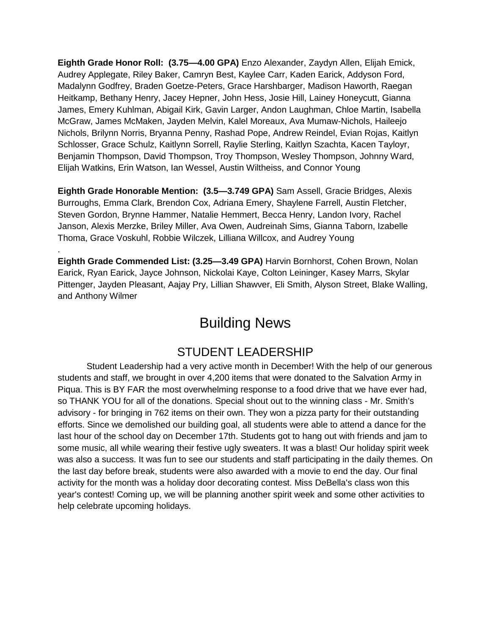**Eighth Grade Honor Roll: (3.75—4.00 GPA)** Enzo Alexander, Zaydyn Allen, Elijah Emick, Audrey Applegate, Riley Baker, Camryn Best, Kaylee Carr, Kaden Earick, Addyson Ford, Madalynn Godfrey, Braden Goetze-Peters, Grace Harshbarger, Madison Haworth, Raegan Heitkamp, Bethany Henry, Jacey Hepner, John Hess, Josie Hill, Lainey Honeycutt, Gianna James, Emery Kuhlman, Abigail Kirk, Gavin Larger, Andon Laughman, Chloe Martin, Isabella McGraw, James McMaken, Jayden Melvin, Kalel Moreaux, Ava Mumaw-Nichols, Haileejo Nichols, Brilynn Norris, Bryanna Penny, Rashad Pope, Andrew Reindel, Evian Rojas, Kaitlyn Schlosser, Grace Schulz, Kaitlynn Sorrell, Raylie Sterling, Kaitlyn Szachta, Kacen Tayloyr, Benjamin Thompson, David Thompson, Troy Thompson, Wesley Thompson, Johnny Ward, Elijah Watkins, Erin Watson, Ian Wessel, Austin Wiltheiss, and Connor Young

**Eighth Grade Honorable Mention: (3.5—3.749 GPA)** Sam Assell, Gracie Bridges, Alexis Burroughs, Emma Clark, Brendon Cox, Adriana Emery, Shaylene Farrell, Austin Fletcher, Steven Gordon, Brynne Hammer, Natalie Hemmert, Becca Henry, Landon Ivory, Rachel Janson, Alexis Merzke, Briley Miller, Ava Owen, Audreinah Sims, Gianna Taborn, Izabelle Thoma, Grace Voskuhl, Robbie Wilczek, Lilliana Willcox, and Audrey Young

.

**Eighth Grade Commended List: (3.25—3.49 GPA)** Harvin Bornhorst, Cohen Brown, Nolan Earick, Ryan Earick, Jayce Johnson, Nickolai Kaye, Colton Leininger, Kasey Marrs, Skylar Pittenger, Jayden Pleasant, Aajay Pry, Lillian Shawver, Eli Smith, Alyson Street, Blake Walling, and Anthony Wilmer

# Building News

#### STUDENT LEADERSHIP

Student Leadership had a very active month in December! With the help of our generous students and staff, we brought in over 4,200 items that were donated to the Salvation Army in Piqua. This is BY FAR the most overwhelming response to a food drive that we have ever had, so THANK YOU for all of the donations. Special shout out to the winning class - Mr. Smith's advisory - for bringing in 762 items on their own. They won a pizza party for their outstanding efforts. Since we demolished our building goal, all students were able to attend a dance for the last hour of the school day on December 17th. Students got to hang out with friends and jam to some music, all while wearing their festive ugly sweaters. It was a blast! Our holiday spirit week was also a success. It was fun to see our students and staff participating in the daily themes. On the last day before break, students were also awarded with a movie to end the day. Our final activity for the month was a holiday door decorating contest. Miss DeBella's class won this year's contest! Coming up, we will be planning another spirit week and some other activities to help celebrate upcoming holidays.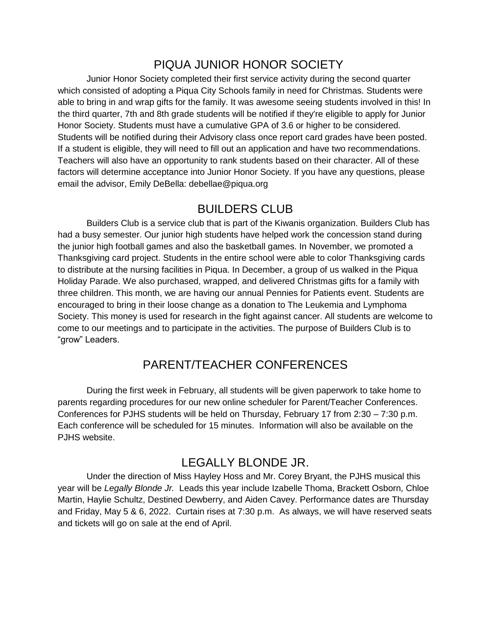# PIQUA JUNIOR HONOR SOCIETY

Junior Honor Society completed their first service activity during the second quarter which consisted of adopting a Piqua City Schools family in need for Christmas. Students were able to bring in and wrap gifts for the family. It was awesome seeing students involved in this! In the third quarter, 7th and 8th grade students will be notified if they're eligible to apply for Junior Honor Society. Students must have a cumulative GPA of 3.6 or higher to be considered. Students will be notified during their Advisory class once report card grades have been posted. If a student is eligible, they will need to fill out an application and have two recommendations. Teachers will also have an opportunity to rank students based on their character. All of these factors will determine acceptance into Junior Honor Society. If you have any questions, please email the advisor, Emily DeBella: debellae@piqua.org

#### BUILDERS CLUB

Builders Club is a service club that is part of the Kiwanis organization. Builders Club has had a busy semester. Our junior high students have helped work the concession stand during the junior high football games and also the basketball games. In November, we promoted a Thanksgiving card project. Students in the entire school were able to color Thanksgiving cards to distribute at the nursing facilities in Piqua. In December, a group of us walked in the Piqua Holiday Parade. We also purchased, wrapped, and delivered Christmas gifts for a family with three children. This month, we are having our annual Pennies for Patients event. Students are encouraged to bring in their loose change as a donation to The Leukemia and Lymphoma Society. This money is used for research in the fight against cancer. All students are welcome to come to our meetings and to participate in the activities. The purpose of Builders Club is to "grow" Leaders.

# PARENT/TEACHER CONFERENCES

During the first week in February, all students will be given paperwork to take home to parents regarding procedures for our new online scheduler for Parent/Teacher Conferences. Conferences for PJHS students will be held on Thursday, February 17 from 2:30 – 7:30 p.m. Each conference will be scheduled for 15 minutes. Information will also be available on the PJHS website.

#### LEGALLY BLONDE JR.

Under the direction of Miss Hayley Hoss and Mr. Corey Bryant, the PJHS musical this year will be *Legally Blonde Jr.* Leads this year include Izabelle Thoma, Brackett Osborn, Chloe Martin, Haylie Schultz, Destined Dewberry, and Aiden Cavey. Performance dates are Thursday and Friday, May 5 & 6, 2022. Curtain rises at 7:30 p.m. As always, we will have reserved seats and tickets will go on sale at the end of April.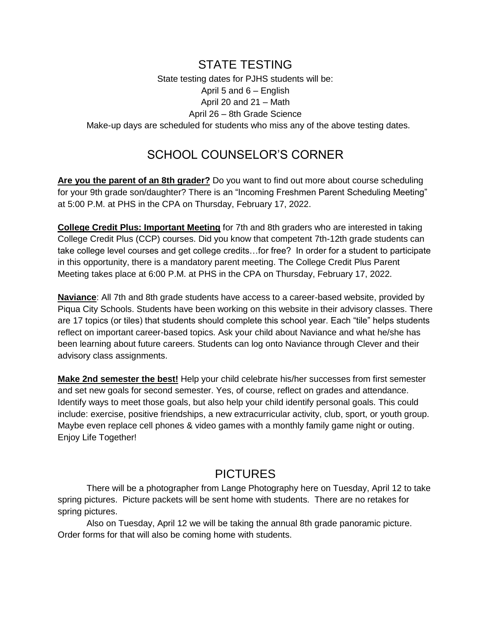#### STATE TESTING

State testing dates for PJHS students will be: April 5 and 6 – English April 20 and 21 – Math April 26 – 8th Grade Science Make-up days are scheduled for students who miss any of the above testing dates.

### SCHOOL COUNSELOR'S CORNER

**Are you the parent of an 8th grader?** Do you want to find out more about course scheduling for your 9th grade son/daughter? There is an "Incoming Freshmen Parent Scheduling Meeting" at 5:00 P.M. at PHS in the CPA on Thursday, February 17, 2022.

**College Credit Plus: Important Meeting** for 7th and 8th graders who are interested in taking College Credit Plus (CCP) courses. Did you know that competent 7th-12th grade students can take college level courses and get college credits…for free? In order for a student to participate in this opportunity, there is a mandatory parent meeting. The College Credit Plus Parent Meeting takes place at 6:00 P.M. at PHS in the CPA on Thursday, February 17, 2022.

**Naviance**: All 7th and 8th grade students have access to a career-based website, provided by Piqua City Schools. Students have been working on this website in their advisory classes. There are 17 topics (or tiles) that students should complete this school year. Each "tile" helps students reflect on important career-based topics. Ask your child about Naviance and what he/she has been learning about future careers. Students can log onto Naviance through Clever and their advisory class assignments.

**Make 2nd semester the best!** Help your child celebrate his/her successes from first semester and set new goals for second semester. Yes, of course, reflect on grades and attendance. Identify ways to meet those goals, but also help your child identify personal goals. This could include: exercise, positive friendships, a new extracurricular activity, club, sport, or youth group. Maybe even replace cell phones & video games with a monthly family game night or outing. Enjoy Life Together!

#### **PICTURES**

There will be a photographer from Lange Photography here on Tuesday, April 12 to take spring pictures. Picture packets will be sent home with students. There are no retakes for spring pictures.

Also on Tuesday, April 12 we will be taking the annual 8th grade panoramic picture. Order forms for that will also be coming home with students.